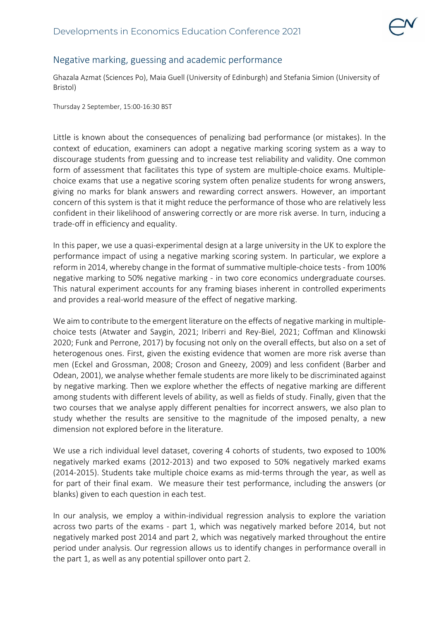

## Negative marking, guessing and academic performance

Ghazala Azmat (Sciences Po), Maia Guell (University of Edinburgh) and Stefania Simion (University of Bristol)

Thursday 2 September, 15:00-16:30 BST

Little is known about the consequences of penalizing bad performance (or mistakes). In the context of education, examiners can adopt a negative marking scoring system as a way to discourage students from guessing and to increase test reliability and validity. One common form of assessment that facilitates this type of system are multiple-choice exams. Multiplechoice exams that use a negative scoring system often penalize students for wrong answers, giving no marks for blank answers and rewarding correct answers. However, an important concern of this system is that it might reduce the performance of those who are relatively less confident in their likelihood of answering correctly or are more risk averse. In turn, inducing a trade-off in efficiency and equality.

In this paper, we use a quasi-experimental design at a large university in the UK to explore the performance impact of using a negative marking scoring system. In particular, we explore a reform in 2014, whereby change in the format of summative multiple-choice tests - from 100% negative marking to 50% negative marking - in two core economics undergraduate courses. This natural experiment accounts for any framing biases inherent in controlled experiments and provides a real-world measure of the effect of negative marking.

We aim to contribute to the emergent literature on the effects of negative marking in multiplechoice tests (Atwater and Saygin, 2021; Iriberri and Rey-Biel, 2021; Coffman and Klinowski 2020; Funk and Perrone, 2017) by focusing not only on the overall effects, but also on a set of heterogenous ones. First, given the existing evidence that women are more risk averse than men (Eckel and Grossman, 2008; Croson and Gneezy, 2009) and less confident (Barber and Odean, 2001), we analyse whether female students are more likely to be discriminated against by negative marking. Then we explore whether the effects of negative marking are different among students with different levels of ability, as well as fields of study. Finally, given that the two courses that we analyse apply different penalties for incorrect answers, we also plan to study whether the results are sensitive to the magnitude of the imposed penalty, a new dimension not explored before in the literature.

We use a rich individual level dataset, covering 4 cohorts of students, two exposed to 100% negatively marked exams (2012-2013) and two exposed to 50% negatively marked exams (2014-2015). Students take multiple choice exams as mid-terms through the year, as well as for part of their final exam. We measure their test performance, including the answers (or blanks) given to each question in each test.

In our analysis, we employ a within-individual regression analysis to explore the variation across two parts of the exams - part 1, which was negatively marked before 2014, but not negatively marked post 2014 and part 2, which was negatively marked throughout the entire period under analysis. Our regression allows us to identify changes in performance overall in the part 1, as well as any potential spillover onto part 2.